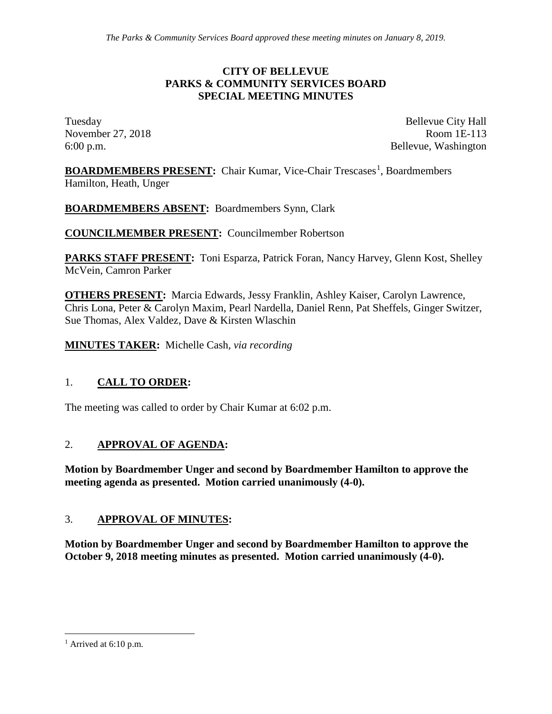### **CITY OF BELLEVUE PARKS & COMMUNITY SERVICES BOARD SPECIAL MEETING MINUTES**

Tuesday Bellevue City Hall November 27, 2018 Room 1E-113 6:00 p.m. Bellevue, Washington

**BOARDMEMBERS PRESENT:** Chair Kumar, Vice-Chair Trescases<sup>[1](#page-0-0)</sup>, Boardmembers Hamilton, Heath, Unger

**BOARDMEMBERS ABSENT:** Boardmembers Synn, Clark

**COUNCILMEMBER PRESENT:** Councilmember Robertson

**PARKS STAFF PRESENT:** Toni Esparza, Patrick Foran, Nancy Harvey, Glenn Kost, Shelley McVein, Camron Parker

**OTHERS PRESENT:** Marcia Edwards, Jessy Franklin, Ashley Kaiser, Carolyn Lawrence, Chris Lona, Peter & Carolyn Maxim, Pearl Nardella, Daniel Renn, Pat Sheffels, Ginger Switzer, Sue Thomas, Alex Valdez, Dave & Kirsten Wlaschin

**MINUTES TAKER:** Michelle Cash*, via recording*

### 1. **CALL TO ORDER:**

The meeting was called to order by Chair Kumar at 6:02 p.m.

### 2. **APPROVAL OF AGENDA:**

**Motion by Boardmember Unger and second by Boardmember Hamilton to approve the meeting agenda as presented. Motion carried unanimously (4-0).**

### 3. **APPROVAL OF MINUTES:**

**Motion by Boardmember Unger and second by Boardmember Hamilton to approve the October 9, 2018 meeting minutes as presented. Motion carried unanimously (4-0).**

<span id="page-0-0"></span><sup>&</sup>lt;sup>1</sup> Arrived at 6:10 p.m.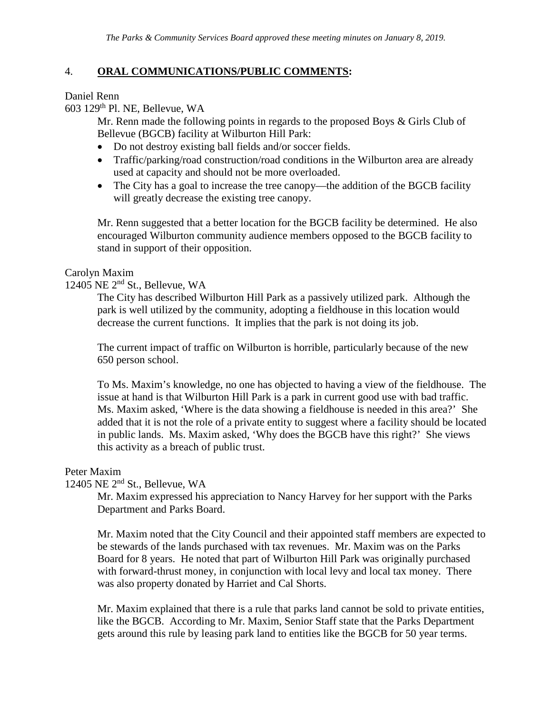### 4. **ORAL COMMUNICATIONS/PUBLIC COMMENTS:**

Daniel Renn

603 129th Pl. NE, Bellevue, WA

Mr. Renn made the following points in regards to the proposed Boys & Girls Club of Bellevue (BGCB) facility at Wilburton Hill Park:

- Do not destroy existing ball fields and/or soccer fields.
- Traffic/parking/road construction/road conditions in the Wilburton area are already used at capacity and should not be more overloaded.
- The City has a goal to increase the tree canopy—the addition of the BGCB facility will greatly decrease the existing tree canopy.

Mr. Renn suggested that a better location for the BGCB facility be determined. He also encouraged Wilburton community audience members opposed to the BGCB facility to stand in support of their opposition.

### Carolyn Maxim

### 12405 NE 2nd St., Bellevue, WA

The City has described Wilburton Hill Park as a passively utilized park. Although the park is well utilized by the community, adopting a fieldhouse in this location would decrease the current functions. It implies that the park is not doing its job.

The current impact of traffic on Wilburton is horrible, particularly because of the new 650 person school.

To Ms. Maxim's knowledge, no one has objected to having a view of the fieldhouse. The issue at hand is that Wilburton Hill Park is a park in current good use with bad traffic. Ms. Maxim asked, 'Where is the data showing a fieldhouse is needed in this area?' She added that it is not the role of a private entity to suggest where a facility should be located in public lands. Ms. Maxim asked, 'Why does the BGCB have this right?' She views this activity as a breach of public trust.

#### Peter Maxim

### 12405 NE 2nd St., Bellevue, WA

Mr. Maxim expressed his appreciation to Nancy Harvey for her support with the Parks Department and Parks Board.

Mr. Maxim noted that the City Council and their appointed staff members are expected to be stewards of the lands purchased with tax revenues. Mr. Maxim was on the Parks Board for 8 years. He noted that part of Wilburton Hill Park was originally purchased with forward-thrust money, in conjunction with local levy and local tax money. There was also property donated by Harriet and Cal Shorts.

Mr. Maxim explained that there is a rule that parks land cannot be sold to private entities, like the BGCB. According to Mr. Maxim, Senior Staff state that the Parks Department gets around this rule by leasing park land to entities like the BGCB for 50 year terms.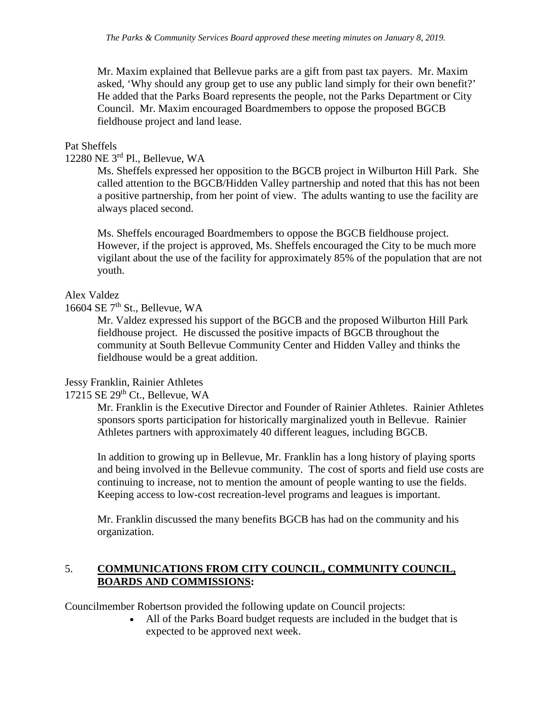Mr. Maxim explained that Bellevue parks are a gift from past tax payers. Mr. Maxim asked, 'Why should any group get to use any public land simply for their own benefit?' He added that the Parks Board represents the people, not the Parks Department or City Council. Mr. Maxim encouraged Boardmembers to oppose the proposed BGCB fieldhouse project and land lease.

### Pat Sheffels

### 12280 NE 3rd Pl., Bellevue, WA

Ms. Sheffels expressed her opposition to the BGCB project in Wilburton Hill Park. She called attention to the BGCB/Hidden Valley partnership and noted that this has not been a positive partnership, from her point of view. The adults wanting to use the facility are always placed second.

Ms. Sheffels encouraged Boardmembers to oppose the BGCB fieldhouse project. However, if the project is approved, Ms. Sheffels encouraged the City to be much more vigilant about the use of the facility for approximately 85% of the population that are not youth.

### Alex Valdez

### 16604 SE 7<sup>th</sup> St., Bellevue, WA

Mr. Valdez expressed his support of the BGCB and the proposed Wilburton Hill Park fieldhouse project. He discussed the positive impacts of BGCB throughout the community at South Bellevue Community Center and Hidden Valley and thinks the fieldhouse would be a great addition.

#### Jessy Franklin, Rainier Athletes

### $17215$  SE  $29<sup>th</sup>$  Ct., Bellevue, WA

Mr. Franklin is the Executive Director and Founder of Rainier Athletes. Rainier Athletes sponsors sports participation for historically marginalized youth in Bellevue. Rainier Athletes partners with approximately 40 different leagues, including BGCB.

In addition to growing up in Bellevue, Mr. Franklin has a long history of playing sports and being involved in the Bellevue community. The cost of sports and field use costs are continuing to increase, not to mention the amount of people wanting to use the fields. Keeping access to low-cost recreation-level programs and leagues is important.

Mr. Franklin discussed the many benefits BGCB has had on the community and his organization.

### 5. **COMMUNICATIONS FROM CITY COUNCIL, COMMUNITY COUNCIL, BOARDS AND COMMISSIONS:**

Councilmember Robertson provided the following update on Council projects:

• All of the Parks Board budget requests are included in the budget that is expected to be approved next week.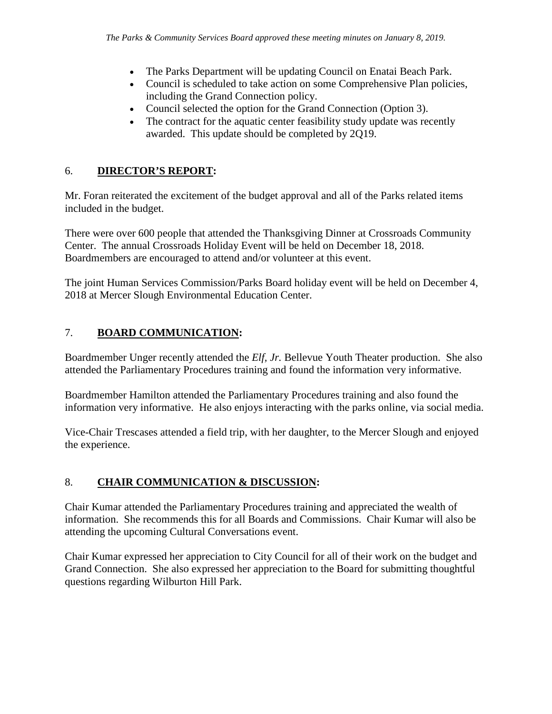- The Parks Department will be updating Council on Enatai Beach Park.
- Council is scheduled to take action on some Comprehensive Plan policies, including the Grand Connection policy.
- Council selected the option for the Grand Connection (Option 3).
- The contract for the aquatic center feasibility study update was recently awarded. This update should be completed by 2Q19.

# 6. **DIRECTOR'S REPORT:**

Mr. Foran reiterated the excitement of the budget approval and all of the Parks related items included in the budget.

There were over 600 people that attended the Thanksgiving Dinner at Crossroads Community Center. The annual Crossroads Holiday Event will be held on December 18, 2018. Boardmembers are encouraged to attend and/or volunteer at this event.

The joint Human Services Commission/Parks Board holiday event will be held on December 4, 2018 at Mercer Slough Environmental Education Center.

# 7. **BOARD COMMUNICATION:**

Boardmember Unger recently attended the *Elf, Jr.* Bellevue Youth Theater production. She also attended the Parliamentary Procedures training and found the information very informative.

Boardmember Hamilton attended the Parliamentary Procedures training and also found the information very informative. He also enjoys interacting with the parks online, via social media.

Vice-Chair Trescases attended a field trip, with her daughter, to the Mercer Slough and enjoyed the experience.

# 8. **CHAIR COMMUNICATION & DISCUSSION:**

Chair Kumar attended the Parliamentary Procedures training and appreciated the wealth of information. She recommends this for all Boards and Commissions. Chair Kumar will also be attending the upcoming Cultural Conversations event.

Chair Kumar expressed her appreciation to City Council for all of their work on the budget and Grand Connection. She also expressed her appreciation to the Board for submitting thoughtful questions regarding Wilburton Hill Park.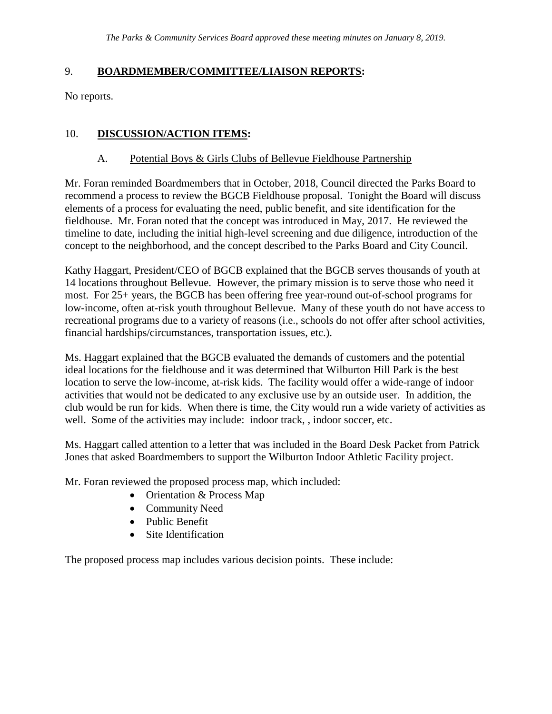### 9. **BOARDMEMBER/COMMITTEE/LIAISON REPORTS:**

No reports.

## 10. **DISCUSSION/ACTION ITEMS:**

### A. Potential Boys & Girls Clubs of Bellevue Fieldhouse Partnership

Mr. Foran reminded Boardmembers that in October, 2018, Council directed the Parks Board to recommend a process to review the BGCB Fieldhouse proposal. Tonight the Board will discuss elements of a process for evaluating the need, public benefit, and site identification for the fieldhouse. Mr. Foran noted that the concept was introduced in May, 2017. He reviewed the timeline to date, including the initial high-level screening and due diligence, introduction of the concept to the neighborhood, and the concept described to the Parks Board and City Council.

Kathy Haggart, President/CEO of BGCB explained that the BGCB serves thousands of youth at 14 locations throughout Bellevue. However, the primary mission is to serve those who need it most. For 25+ years, the BGCB has been offering free year-round out-of-school programs for low-income, often at-risk youth throughout Bellevue. Many of these youth do not have access to recreational programs due to a variety of reasons (i.e., schools do not offer after school activities, financial hardships/circumstances, transportation issues, etc.).

Ms. Haggart explained that the BGCB evaluated the demands of customers and the potential ideal locations for the fieldhouse and it was determined that Wilburton Hill Park is the best location to serve the low-income, at-risk kids. The facility would offer a wide-range of indoor activities that would not be dedicated to any exclusive use by an outside user. In addition, the club would be run for kids. When there is time, the City would run a wide variety of activities as well. Some of the activities may include: indoor track, , indoor soccer, etc.

Ms. Haggart called attention to a letter that was included in the Board Desk Packet from Patrick Jones that asked Boardmembers to support the Wilburton Indoor Athletic Facility project.

Mr. Foran reviewed the proposed process map, which included:

- Orientation & Process Map
- Community Need
- Public Benefit
- Site Identification

The proposed process map includes various decision points. These include: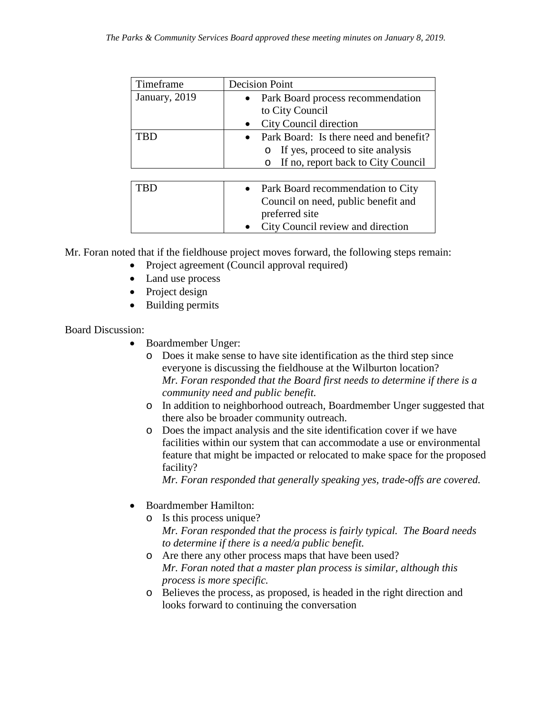| Timeframe     | <b>Decision Point</b>                                                                                                             |
|---------------|-----------------------------------------------------------------------------------------------------------------------------------|
| January, 2019 | Park Board process recommendation<br>to City Council                                                                              |
|               | City Council direction                                                                                                            |
| TRD           | Park Board: Is there need and benefit?<br>If yes, proceed to site analysis<br>O<br>If no, report back to City Council<br>$\circ$  |
| TRD           | • Park Board recommendation to City<br>Council on need, public benefit and<br>preferred site<br>City Council review and direction |

Mr. Foran noted that if the fieldhouse project moves forward, the following steps remain:

- Project agreement (Council approval required)
- Land use process
- Project design
- Building permits

Board Discussion:

- Boardmember Unger:
	- o Does it make sense to have site identification as the third step since everyone is discussing the fieldhouse at the Wilburton location? *Mr. Foran responded that the Board first needs to determine if there is a community need and public benefit.*
	- o In addition to neighborhood outreach, Boardmember Unger suggested that there also be broader community outreach.
	- o Does the impact analysis and the site identification cover if we have facilities within our system that can accommodate a use or environmental feature that might be impacted or relocated to make space for the proposed facility?

*Mr. Foran responded that generally speaking yes, trade-offs are covered.*

- Boardmember Hamilton:
	- o Is this process unique? *Mr. Foran responded that the process is fairly typical. The Board needs to determine if there is a need/a public benefit.*
	- o Are there any other process maps that have been used? *Mr. Foran noted that a master plan process is similar, although this process is more specific.*
	- o Believes the process, as proposed, is headed in the right direction and looks forward to continuing the conversation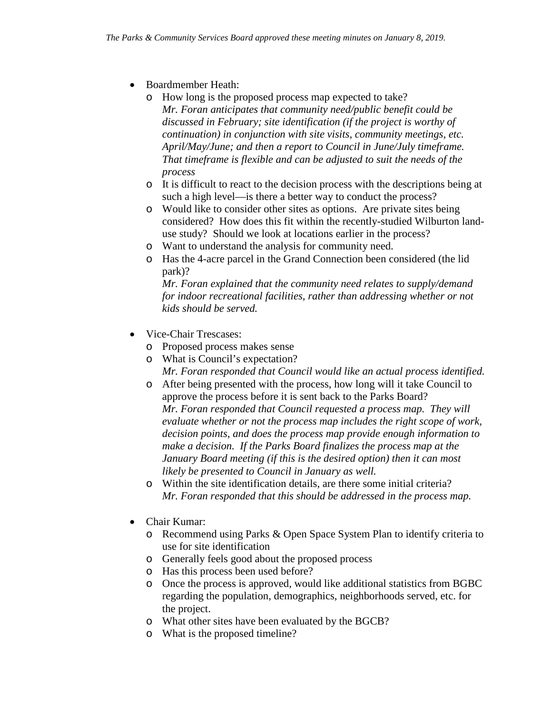- Boardmember Heath:
	- o How long is the proposed process map expected to take? *Mr. Foran anticipates that community need/public benefit could be discussed in February; site identification (if the project is worthy of continuation) in conjunction with site visits, community meetings, etc. April/May/June; and then a report to Council in June/July timeframe. That timeframe is flexible and can be adjusted to suit the needs of the process*
	- o It is difficult to react to the decision process with the descriptions being at such a high level—is there a better way to conduct the process?
	- o Would like to consider other sites as options. Are private sites being considered? How does this fit within the recently-studied Wilburton landuse study? Should we look at locations earlier in the process?
	- o Want to understand the analysis for community need.
	- o Has the 4-acre parcel in the Grand Connection been considered (the lid park)?

*Mr. Foran explained that the community need relates to supply/demand for indoor recreational facilities, rather than addressing whether or not kids should be served.*

- Vice-Chair Trescases:
	- o Proposed process makes sense
	- o What is Council's expectation?

*Mr. Foran responded that Council would like an actual process identified.*

- o After being presented with the process, how long will it take Council to approve the process before it is sent back to the Parks Board? *Mr. Foran responded that Council requested a process map. They will evaluate whether or not the process map includes the right scope of work, decision points, and does the process map provide enough information to make a decision. If the Parks Board finalizes the process map at the January Board meeting (if this is the desired option) then it can most likely be presented to Council in January as well.*
- o Within the site identification details, are there some initial criteria? *Mr. Foran responded that this should be addressed in the process map.*
- Chair Kumar:
	- o Recommend using Parks & Open Space System Plan to identify criteria to use for site identification
	- o Generally feels good about the proposed process
	- o Has this process been used before?
	- o Once the process is approved, would like additional statistics from BGBC regarding the population, demographics, neighborhoods served, etc. for the project.
	- o What other sites have been evaluated by the BGCB?
	- o What is the proposed timeline?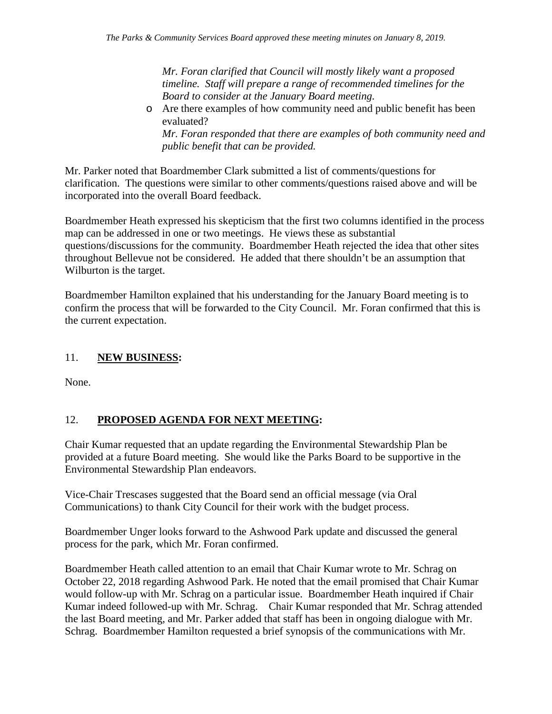*Mr. Foran clarified that Council will mostly likely want a proposed timeline. Staff will prepare a range of recommended timelines for the Board to consider at the January Board meeting.*

o Are there examples of how community need and public benefit has been evaluated?

*Mr. Foran responded that there are examples of both community need and public benefit that can be provided.*

Mr. Parker noted that Boardmember Clark submitted a list of comments/questions for clarification. The questions were similar to other comments/questions raised above and will be incorporated into the overall Board feedback.

Boardmember Heath expressed his skepticism that the first two columns identified in the process map can be addressed in one or two meetings. He views these as substantial questions/discussions for the community. Boardmember Heath rejected the idea that other sites throughout Bellevue not be considered. He added that there shouldn't be an assumption that Wilburton is the target.

Boardmember Hamilton explained that his understanding for the January Board meeting is to confirm the process that will be forwarded to the City Council. Mr. Foran confirmed that this is the current expectation.

## 11. **NEW BUSINESS:**

None.

# 12. **PROPOSED AGENDA FOR NEXT MEETING:**

Chair Kumar requested that an update regarding the Environmental Stewardship Plan be provided at a future Board meeting. She would like the Parks Board to be supportive in the Environmental Stewardship Plan endeavors.

Vice-Chair Trescases suggested that the Board send an official message (via Oral Communications) to thank City Council for their work with the budget process.

Boardmember Unger looks forward to the Ashwood Park update and discussed the general process for the park, which Mr. Foran confirmed.

Boardmember Heath called attention to an email that Chair Kumar wrote to Mr. Schrag on October 22, 2018 regarding Ashwood Park. He noted that the email promised that Chair Kumar would follow-up with Mr. Schrag on a particular issue. Boardmember Heath inquired if Chair Kumar indeed followed-up with Mr. Schrag. Chair Kumar responded that Mr. Schrag attended the last Board meeting, and Mr. Parker added that staff has been in ongoing dialogue with Mr. Schrag. Boardmember Hamilton requested a brief synopsis of the communications with Mr.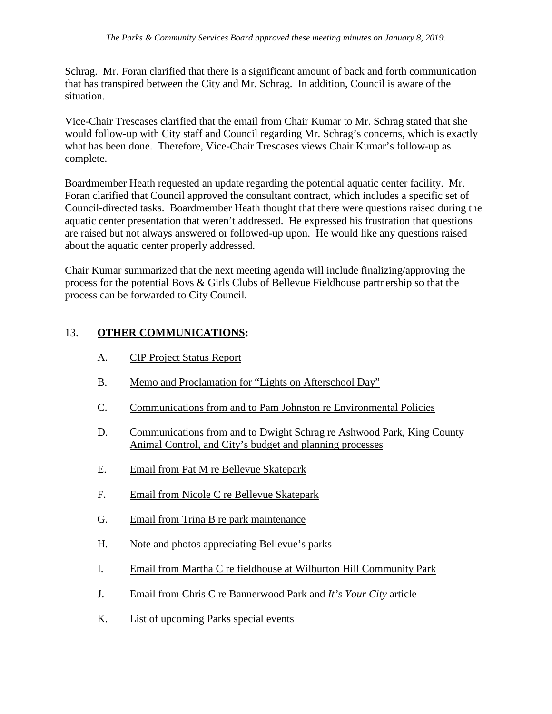Schrag. Mr. Foran clarified that there is a significant amount of back and forth communication that has transpired between the City and Mr. Schrag. In addition, Council is aware of the situation.

Vice-Chair Trescases clarified that the email from Chair Kumar to Mr. Schrag stated that she would follow-up with City staff and Council regarding Mr. Schrag's concerns, which is exactly what has been done. Therefore, Vice-Chair Trescases views Chair Kumar's follow-up as complete.

Boardmember Heath requested an update regarding the potential aquatic center facility. Mr. Foran clarified that Council approved the consultant contract, which includes a specific set of Council-directed tasks. Boardmember Heath thought that there were questions raised during the aquatic center presentation that weren't addressed. He expressed his frustration that questions are raised but not always answered or followed-up upon. He would like any questions raised about the aquatic center properly addressed.

Chair Kumar summarized that the next meeting agenda will include finalizing/approving the process for the potential Boys & Girls Clubs of Bellevue Fieldhouse partnership so that the process can be forwarded to City Council.

### 13. **OTHER COMMUNICATIONS:**

- A. CIP Project Status Report
- B. Memo and Proclamation for "Lights on Afterschool Day"
- C. Communications from and to Pam Johnston re Environmental Policies
- D. Communications from and to Dwight Schrag re Ashwood Park, King County Animal Control, and City's budget and planning processes
- E. Email from Pat M re Bellevue Skatepark
- F. Email from Nicole C re Bellevue Skatepark
- G. Email from Trina B re park maintenance
- H. Note and photos appreciating Bellevue's parks
- I. Email from Martha C re fieldhouse at Wilburton Hill Community Park
- J. Email from Chris C re Bannerwood Park and *It's Your City* article
- K. List of upcoming Parks special events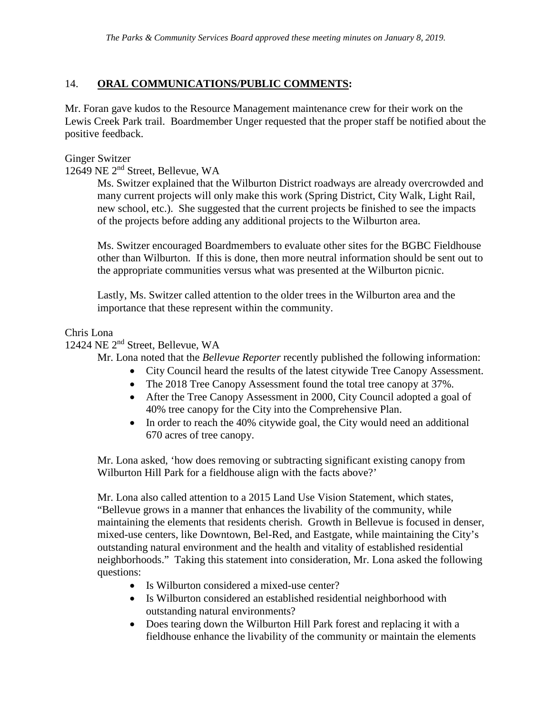## 14. **ORAL COMMUNICATIONS/PUBLIC COMMENTS:**

Mr. Foran gave kudos to the Resource Management maintenance crew for their work on the Lewis Creek Park trail. Boardmember Unger requested that the proper staff be notified about the positive feedback.

### Ginger Switzer

12649 NE 2nd Street, Bellevue, WA

Ms. Switzer explained that the Wilburton District roadways are already overcrowded and many current projects will only make this work (Spring District, City Walk, Light Rail, new school, etc.). She suggested that the current projects be finished to see the impacts of the projects before adding any additional projects to the Wilburton area.

Ms. Switzer encouraged Boardmembers to evaluate other sites for the BGBC Fieldhouse other than Wilburton. If this is done, then more neutral information should be sent out to the appropriate communities versus what was presented at the Wilburton picnic.

Lastly, Ms. Switzer called attention to the older trees in the Wilburton area and the importance that these represent within the community.

Chris Lona

12424 NE 2nd Street, Bellevue, WA

Mr. Lona noted that the *Bellevue Reporter* recently published the following information:

- City Council heard the results of the latest citywide Tree Canopy Assessment.
- The 2018 Tree Canopy Assessment found the total tree canopy at 37%.
- After the Tree Canopy Assessment in 2000, City Council adopted a goal of 40% tree canopy for the City into the Comprehensive Plan.
- In order to reach the 40% citywide goal, the City would need an additional 670 acres of tree canopy.

Mr. Lona asked, 'how does removing or subtracting significant existing canopy from Wilburton Hill Park for a fieldhouse align with the facts above?'

Mr. Lona also called attention to a 2015 Land Use Vision Statement, which states, "Bellevue grows in a manner that enhances the livability of the community, while maintaining the elements that residents cherish. Growth in Bellevue is focused in denser, mixed-use centers, like Downtown, Bel-Red, and Eastgate, while maintaining the City's outstanding natural environment and the health and vitality of established residential neighborhoods." Taking this statement into consideration, Mr. Lona asked the following questions:

- Is Wilburton considered a mixed-use center?
- Is Wilburton considered an established residential neighborhood with outstanding natural environments?
- Does tearing down the Wilburton Hill Park forest and replacing it with a fieldhouse enhance the livability of the community or maintain the elements